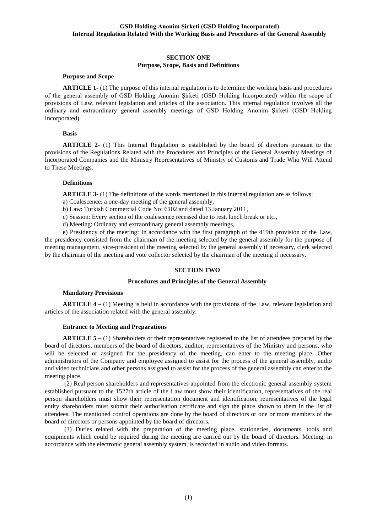### **SECTION ONE Purpose, Scope, Basis and Definitions**

#### **Purpose and Scope**

**ARTICLE** 1-(1) The purpose of this internal regulation is to determine the working basis and procedures of the general assembly of GSD Holding Anonim Şirketi (GSD Holding Incorporated) within the scope of provisions of Law, relevant legislation and articles of the association. This internal regulation involves all the ordinary and extraordinary general assembly meetings of GSD Holding Anonim Şirketi (GSD Holding Incorporated).

#### **Basis**

**ARTICLE 2-** (1) This Internal Regulation is established by the board of directors pursuant to the provisions of the Regulations Related with the Procedures and Principles of the General Assembly Meetings of Incorporated Companies and the Ministry Representatives of Ministry of Customs and Trade Who Will Attend to These Meetings.

#### **Definitions**

**ARTICLE 3-** (1) The definitions of the words mentioned in this internal regulation are as follows;

- a) Coalescence: a one-day meeting of the general assembly,
- b) Law: Turkish Commercial Code No: 6102 and dated 13 January 2011,
- c) Session: Every section of the coalescence recessed due to rest, lunch break or etc.,
- d) Meeting: Ordinary and extraordinary general assembly meetings,

e) Presidency of the meeting: In accordance with the first paragraph of the 419th provision of the Law, the presidency consisted from the chairman of the meeting selected by the general assembly for the purpose of meeting management, vice-president of the meeting selected by the general assembly if necessary, clerk selected by the chairman of the meeting and vote collector selected by the chairman of the meeting if necessary.

### **SECTION TWO**

### **Procedures and Principles of the General Assembly**

#### **Mandatory Provisions**

**ARTICLE 4 –** (1) Meeting is held in accordance with the provisions of the Law, relevant legislation and articles of the association related with the general assembly.

#### **Entrance to Meeting and Preparations**

**ARTICLE 5 –** (1) Shareholders or their representatives registered to the list of attendees prepared by the board of directors, members of the board of directors, auditor, representatives of the Ministry and persons, who will be selected or assigned for the presidency of the meeting, can enter to the meeting place. Other administrators of the Company and employee assigned to assist for the process of the general assembly, audio and video technicians and other persons assigned to assist for the process of the general assembly can enter to the meeting place.

(2) Real person shareholders and representatives appointed from the electronic general assembly system established pursuant to the 1527th article of the Law must show their identification, representatives of the real person shareholders must show their representation document and identification, representatives of the legal entity shareholders must submit their authorisation certificate and sign the place shown to them in the list of attendees. The mentioned control operations are done by the board of directors or one or more members of the board of directors or persons appointed by the board of directors.

(3) Duties related with the preparation of the meeting place, stationeries, documents, tools and equipments which could be required during the meeting are carried out by the board of directors. Meeting, in accordance with the electronic general assembly system, is recorded in audio and video formats.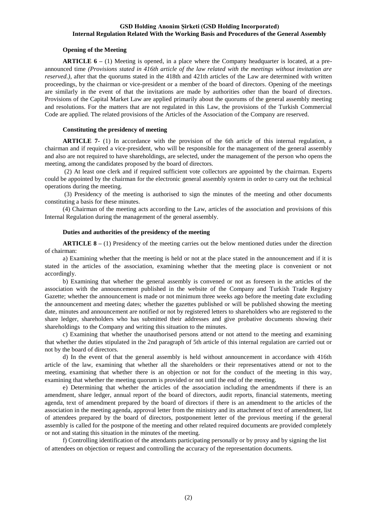#### **Opening of the Meeting**

**ARTICLE 6** – (1) Meeting is opened, in a place where the Company headquarter is located, at a preannounced time *(Provisions stated in 416th article of the law related with the meetings without invitation are reserved.*), after that the quorums stated in the 418th and 421th articles of the Law are determined with written proceedings, by the chairman or vice-president or a member of the board of directors. Opening of the meetings are similarly in the event of that the invitations are made by authorities other than the board of directors. Provisions of the Capital Market Law are applied primarily about the quorums of the general assembly meeting and resolutions. For the matters that are not regulated in this Law, the provisions of the Turkish Commercial Code are applied. The related provisions of the Articles of the Association of the Company are reserved.

### **Constituting the presidency of meeting**

**ARTICLE 7-** (1) In accordance with the provision of the 6th article of this internal regulation, a chairman and if required a vice-president, who will be responsible for the management of the general assembly and also are not required to have shareholdings, are selected, under the management of the person who opens the meeting, among the candidates proposed by the board of directors.

(2) At least one clerk and if required sufficient vote collectors are appointed by the chairman. Experts could be appointed by the chairman for the electronic general assembly system in order to carry out the technical operations during the meeting.

(3) Presidency of the meeting is authorised to sign the minutes of the meeting and other documents constituting a basis for these minutes.

(4) Chairman of the meeting acts according to the Law, articles of the association and provisions of this Internal Regulation during the management of the general assembly.

### **Duties and authorities of the presidency of the meeting**

**ARTICLE 8 –** (1) Presidency of the meeting carries out the below mentioned duties under the direction of chairman:

a) Examining whether that the meeting is held or not at the place stated in the announcement and if it is stated in the articles of the association, examining whether that the meeting place is convenient or not accordingly.

b) Examining that whether the general assembly is convened or not as foreseen in the articles of the association with the announcement published in the website of the Company and Turkish Trade Registry Gazette; whether the announcement is made or not minimum three weeks ago before the meeting date excluding the announcement and meeting dates; whether the gazettes published or will be published showing the meeting date, minutes and announcement are notified or not by registered letters to shareholders who are registered to the share ledger, shareholders who has submitted their addresses and give probative documents showing their shareholdings to the Company and writing this situation to the minutes.

c) Examining that whether the unauthorised persons attend or not attend to the meeting and examining that whether the duties stipulated in the 2nd paragraph of 5th article of this internal regulation are carried out or not by the board of directors.

d) In the event of that the general assembly is held without announcement in accordance with 416th article of the law, examining that whether all the shareholders or their representatives attend or not to the meeting, examining that whether there is an objection or not for the conduct of the meeting in this way, examining that whether the meeting quorum is provided or not until the end of the meeting.

e) Determining that whether the articles of the association including the amendments if there is an amendment, share ledger, annual report of the board of directors, audit reports, financial statements, meeting agenda, text of amendment prepared by the board of directors if there is an amendment to the articles of the association in the meeting agenda, approval letter from the ministry and its attachment of text of amendment, list of attendees prepared by the board of directors, postponement letter of the previous meeting if the general assembly is called for the postpone of the meeting and other related required documents are provided completely or not and stating this situation in the minutes of the meeting.

f) Controlling identification of the attendants participating personally or by proxy and by signing the list of attendees on objection or request and controlling the accuracy of the representation documents.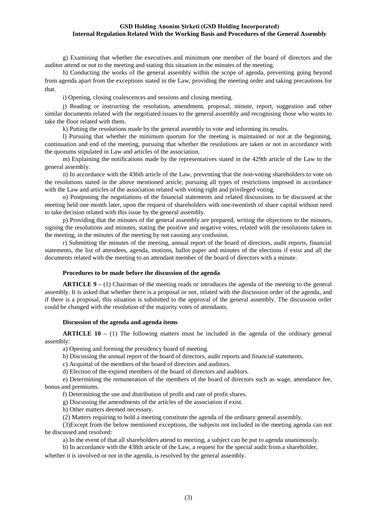g) Examining that whether the executives and minimum one member of the board of directors and the auditor attend or not to the meeting and stating this situation in the minutes of the meeting.

h) Conducting the works of the general assembly within the scope of agenda, preventing going beyond from agenda apart from the exceptions stated in the Law, providing the meeting order and taking precautions for that.

i) Opening, closing coalescences and sessions and closing meeting.

j) Reading or instructing the resolution, amendment, proposal, minute, report, suggestion and other similar documents related with the negotiated issues to the general assembly and recognising those who wants to take the floor related with them.

k) Putting the resolutions made by the general assembly to vote and informing its results.

l) Pursuing that whether the minimum quorum for the meeting is maintained or not at the beginning, continuation and end of the meeting, pursuing that whether the resolutions are taken or not in accordance with the quorums stipulated in Law and articles of the association.

m) Explaining the notifications made by the representatives stated in the 429th article of the Law to the general assembly.

n) In accordance with the 436th article of the Law, preventing that the non-voting shareholders to vote on the resolutions stated in the above mentioned article, pursuing all types of restrictions imposed in accordance with the Law and articles of the association related with voting right and privileged voting.

o) Postponing the negotiations of the financial statements and related discussions to be discussed at the meeting held one month later, upon the request of shareholders with one-twentieth of share capital without need to take decision related with this issue by the general assembly.

p) Providing that the minutes of the general assembly are prepared, writing the objections to the minutes, signing the resolutions and minutes, stating the positive and negative votes, related with the resolutions taken in the meeting, in the minutes of the meeting by not causing any confusion.

r) Submitting the minutes of the meeting, annual report of the board of directors, audit reports, financial statements, the list of attendees, agenda, motions, ballot paper and minutes of the elections if exist and all the documents related with the meeting to an attendant member of the board of directors with a minute.

### **Procedures to be made before the discussion of the agenda**

**ARTICLE 9 –** (1) Chairman of the meeting reads or introduces the agenda of the meeting to the general assembly. It is asked that whether there is a proposal or not, related with the discussion order of the agenda, and if there is a proposal, this situation is submitted to the approval of the general assembly. The discussion order could be changed with the resolution of the majority votes of attendants.

#### **Discussion of the agenda and agenda items**

**ARTICLE 10 –** (1) The following matters must be included in the agenda of the ordinary general assembly:

a) Opening and forming the presidency board of meeting.

b) Discussing the annual report of the board of directors, audit reports and financial statements.

c) Acquittal of the members of the board of directors and auditors.

d) Election of the expired members of the board of directors and auditors.

e) Determining the remuneration of the members of the board of directors such as wage, attendance fee, bonus and premiums.

f) Determining the use and distribution of profit and rate of profit shares.

g) Discussing the amendments of the articles of the association if exist.

h) Other matters deemed necessary.

(2) Matters requiring to hold a meeting constitute the agenda of the ordinary general assembly.

(3)Except from the below mentioned exceptions, the subjects not included in the meeting agenda can not be discussed and resolved:

a) In the event of that all shareholders attend to meeting, a subject can be put to agenda unanimously.

b) In accordance with the 438th article of the Law, a request for the special audit from a shareholder,

whether it is involved or not in the agenda, is resolved by the general assembly.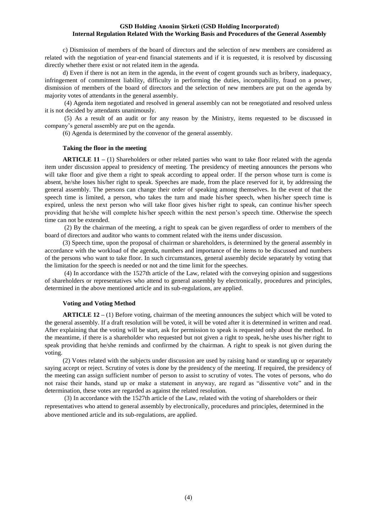c) Dismission of members of the board of directors and the selection of new members are considered as related with the negotiation of year-end financial statements and if it is requested, it is resolved by discussing directly whether there exist or not related item in the agenda.

d) Even if there is not an item in the agenda, in the event of cogent grounds such as bribery, inadequacy, infringement of commitment liability, difficulty in performing the duties, incompability, fraud on a power, dismission of members of the board of directors and the selection of new members are put on the agenda by majority votes of attendants in the general assembly.

(4) Agenda item negotiated and resolved in general assembly can not be renegotiated and resolved unless it is not decided by attendants unanimously.

(5) As a result of an audit or for any reason by the Ministry, items requested to be discussed in company's general assembly are put on the agenda.

(6) Agenda is determined by the convenor of the general assembly.

### **Taking the floor in the meeting**

**ARTICLE 11 –** (1) Shareholders or other related parties who want to take floor related with the agenda item under discussion appeal to presidency of meeting. The presidency of meeting announces the persons who will take floor and give them a right to speak according to appeal order. If the person whose turn is come is absent, he/she loses his/her right to speak. Speeches are made, from the place reserved for it, by addressing the general assembly. The persons can change their order of speaking among themselves. In the event of that the speech time is limited, a person, who takes the turn and made his/her speech, when his/her speech time is expired, unless the next person who will take floor gives his/her right to speak, can continue his/her speech providing that he/she will complete his/her speech within the next person's speech time. Otherwise the speech time can not be extended.

(2) By the chairman of the meeting, a right to speak can be given regardless of order to members of the board of directors and auditor who wants to comment related with the items under discussion.

(3) Speech time, upon the proposal of chairman or shareholders, is determined by the general assembly in accordance with the workload of the agenda, numbers and importance of the items to be discussed and numbers of the persons who want to take floor. In such circumstances, general assembly decide separately by voting that the limitation for the speech is needed or not and the time limit for the speeches.

(4) In accordance with the 1527th article of the Law, related with the conveying opinion and suggestions of shareholders or representatives who attend to general assembly by electronically, procedures and principles, determined in the above mentioned article and its sub-regulations, are applied.

#### **Voting and Voting Method**

**ARTICLE 12 –** (1) Before voting, chairman of the meeting announces the subject which will be voted to the general assembly. If a draft resolution will be voted, it will be voted after it is determined in written and read. After explaining that the voting will be start, ask for permission to speak is requested only about the method. In the meantime, if there is a shareholder who requested but not given a right to speak, he/she uses his/her right to speak providing that he/she reminds and confirmed by the chairman. A right to speak is not given during the voting.

(2) Votes related with the subjects under discussion are used by raising hand or standing up or separately saying accept or reject. Scrutiny of votes is done by the presidency of the meeting. If required, the presidency of the meeting can assign sufficient number of person to assist to scrutiny of votes. The votes of persons, who do not raise their hands, stand up or make a statement in anyway, are regard as "dissentive vote" and in the determination, these votes are regarded as against the related resolution.

(3) In accordance with the 1527th article of the Law, related with the voting of shareholders or their representatives who attend to general assembly by electronically, procedures and principles, determined in the above mentioned article and its sub-regulations, are applied.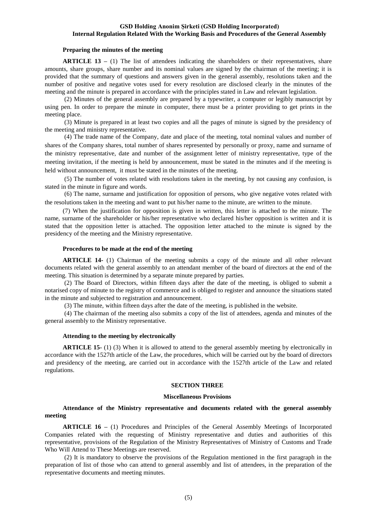### **Preparing the minutes of the meeting**

**ARTICLE 13** – (1) The list of attendees indicating the shareholders or their representatives, share amounts, share groups, share number and its nominal values are signed by the chairman of the meeting; it is provided that the summary of questions and answers given in the general assembly, resolutions taken and the number of positive and negative votes used for every resolution are disclosed clearly in the minutes of the meeting and the minute is prepared in accordance with the principles stated in Law and relevant legislation.

(2) Minutes of the general assembly are prepared by a typewriter, a computer or legibly manuscript by using pen. In order to prepare the minute in computer, there must be a printer providing to get prints in the meeting place.

(3) Minute is prepared in at least two copies and all the pages of minute is signed by the presidency of the meeting and ministry representative.

(4) The trade name of the Company, date and place of the meeting, total nominal values and number of shares of the Company shares, total number of shares represented by personally or proxy, name and surname of the ministry representative, date and number of the assignment letter of ministry representative, type of the meeting invitation, if the meeting is held by announcement, must be stated in the minutes and if the meeting is held without announcement, it must be stated in the minutes of the meeting.

(5) The number of votes related with resolutions taken in the meeting, by not causing any confusion, is stated in the minute in figure and words.

(6) The name, surname and justification for opposition of persons, who give negative votes related with the resolutions taken in the meeting and want to put his/her name to the minute, are written to the minute.

(7) When the justification for opposition is given in written, this letter is attached to the minute. The name, surname of the shareholder or his/her representative who declared his/her opposition is written and it is stated that the opposition letter is attached. The opposition letter attached to the minute is signed by the presidency of the meeting and the Ministry representative.

#### **Procedures to be made at the end of the meeting**

**ARTICLE 14-** (1) Chairman of the meeting submits a copy of the minute and all other relevant documents related with the general assembly to an attendant member of the board of directors at the end of the meeting. This situation is determined by a separate minute prepared by parties.

(2) The Board of Directors, within fifteen days after the date of the meeting, is obliged to submit a notarised copy of minute to the registry of commerce and is obliged to register and announce the situations stated in the minute and subjected to registration and announcement.

(3) The minute, within fifteen days after the date of the meeting, is published in the website.

(4) The chairman of the meeting also submits a copy of the list of attendees, agenda and minutes of the general assembly to the Ministry representative.

#### **Attending to the meeting by electronically**

**ARTICLE 15-** (1) (3) When it is allowed to attend to the general assembly meeting by electronically in accordance with the 1527th article of the Law, the procedures, which will be carried out by the board of directors and presidency of the meeting, are carried out in accordance with the 1527th article of the Law and related regulations.

#### **SECTION THREE**

#### **Miscellaneous Provisions**

# **Attendance of the Ministry representative and documents related with the general assembly meeting**

**ARTICLE 16 –** (1) Procedures and Principles of the General Assembly Meetings of Incorporated Companies related with the requesting of Ministry representative and duties and authorities of this representative, provisions of the Regulation of the Ministry Representatives of Ministry of Customs and Trade Who Will Attend to These Meetings are reserved.

(2) It is mandatory to observe the provisions of the Regulation mentioned in the first paragraph in the preparation of list of those who can attend to general assembly and list of attendees, in the preparation of the representative documents and meeting minutes.